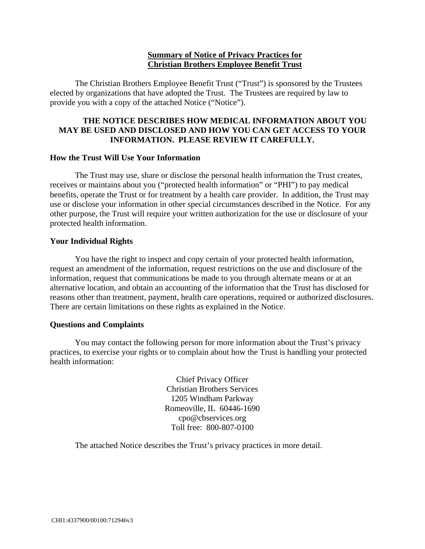### **Summary of Notice of Privacy Practices for Christian Brothers Employee Benefit Trust**

The Christian Brothers Employee Benefit Trust ("Trust") is sponsored by the Trustees elected by organizations that have adopted the Trust. The Trustees are required by law to provide you with a copy of the attached Notice ("Notice").

## **THE NOTICE DESCRIBES HOW MEDICAL INFORMATION ABOUT YOU MAY BE USED AND DISCLOSED AND HOW YOU CAN GET ACCESS TO YOUR INFORMATION. PLEASE REVIEW IT CAREFULLY.**

#### **How the Trust Will Use Your Information**

The Trust may use, share or disclose the personal health information the Trust creates, receives or maintains about you ("protected health information" or "PHI") to pay medical benefits, operate the Trust or for treatment by a health care provider. In addition, the Trust may use or disclose your information in other special circumstances described in the Notice. For any other purpose, the Trust will require your written authorization for the use or disclosure of your protected health information.

#### **Your Individual Rights**

You have the right to inspect and copy certain of your protected health information, request an amendment of the information, request restrictions on the use and disclosure of the information, request that communications be made to you through alternate means or at an alternative location, and obtain an accounting of the information that the Trust has disclosed for reasons other than treatment, payment, health care operations, required or authorized disclosures. There are certain limitations on these rights as explained in the Notice.

#### **Questions and Complaints**

You may contact the following person for more information about the Trust's privacy practices, to exercise your rights or to complain about how the Trust is handling your protected health information:

> Chief Privacy Officer Christian Brothers Services 1205 Windham Parkway Romeoville, IL 60446-1690 cpo@cbservices.org Toll free: 800-807-0100

The attached Notice describes the Trust's privacy practices in more detail.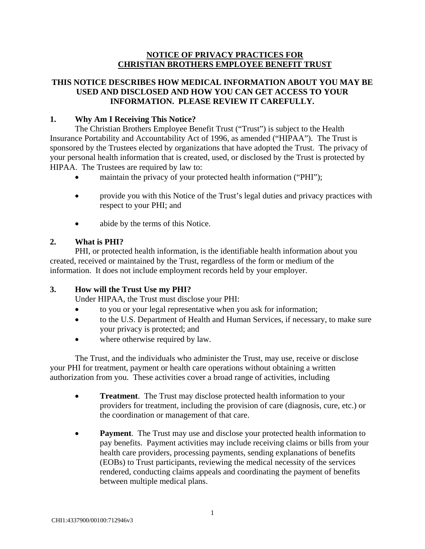## **NOTICE OF PRIVACY PRACTICES FOR CHRISTIAN BROTHERS EMPLOYEE BENEFIT TRUST**

## **THIS NOTICE DESCRIBES HOW MEDICAL INFORMATION ABOUT YOU MAY BE USED AND DISCLOSED AND HOW YOU CAN GET ACCESS TO YOUR INFORMATION. PLEASE REVIEW IT CAREFULLY.**

## **1. Why Am I Receiving This Notice?**

The Christian Brothers Employee Benefit Trust ("Trust") is subject to the Health Insurance Portability and Accountability Act of 1996, as amended ("HIPAA"). The Trust is sponsored by the Trustees elected by organizations that have adopted the Trust. The privacy of your personal health information that is created, used, or disclosed by the Trust is protected by HIPAA. The Trustees are required by law to:

- maintain the privacy of your protected health information ("PHI");
- provide you with this Notice of the Trust's legal duties and privacy practices with respect to your PHI; and
- abide by the terms of this Notice.

## **2. What is PHI?**

PHI, or protected health information, is the identifiable health information about you created, received or maintained by the Trust, regardless of the form or medium of the information. It does not include employment records held by your employer.

# **3. How will the Trust Use my PHI?**

Under HIPAA, the Trust must disclose your PHI:

- to you or your legal representative when you ask for information;
- to the U.S. Department of Health and Human Services, if necessary, to make sure your privacy is protected; and
- where otherwise required by law.

The Trust, and the individuals who administer the Trust, may use, receive or disclose your PHI for treatment, payment or health care operations without obtaining a written authorization from you. These activities cover a broad range of activities, including

- **Treatment**. The Trust may disclose protected health information to your providers for treatment, including the provision of care (diagnosis, cure, etc.) or the coordination or management of that care.
- **Payment.** The Trust may use and disclose your protected health information to pay benefits. Payment activities may include receiving claims or bills from your health care providers, processing payments, sending explanations of benefits (EOBs) to Trust participants, reviewing the medical necessity of the services rendered, conducting claims appeals and coordinating the payment of benefits between multiple medical plans.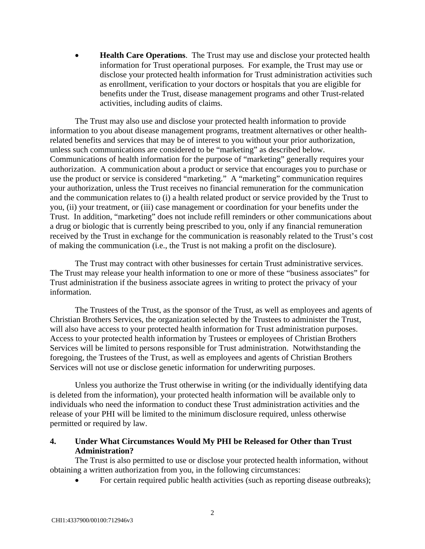**Health Care Operations**. The Trust may use and disclose your protected health information for Trust operational purposes. For example, the Trust may use or disclose your protected health information for Trust administration activities such as enrollment, verification to your doctors or hospitals that you are eligible for benefits under the Trust, disease management programs and other Trust-related activities, including audits of claims.

The Trust may also use and disclose your protected health information to provide information to you about disease management programs, treatment alternatives or other healthrelated benefits and services that may be of interest to you without your prior authorization, unless such communications are considered to be "marketing" as described below. Communications of health information for the purpose of "marketing" generally requires your authorization. A communication about a product or service that encourages you to purchase or use the product or service is considered "marketing." A "marketing" communication requires your authorization, unless the Trust receives no financial remuneration for the communication and the communication relates to (i) a health related product or service provided by the Trust to you, (ii) your treatment, or (iii) case management or coordination for your benefits under the Trust. In addition, "marketing" does not include refill reminders or other communications about a drug or biologic that is currently being prescribed to you, only if any financial remuneration received by the Trust in exchange for the communication is reasonably related to the Trust's cost of making the communication (i.e., the Trust is not making a profit on the disclosure).

The Trust may contract with other businesses for certain Trust administrative services. The Trust may release your health information to one or more of these "business associates" for Trust administration if the business associate agrees in writing to protect the privacy of your information.

The Trustees of the Trust, as the sponsor of the Trust, as well as employees and agents of Christian Brothers Services, the organization selected by the Trustees to administer the Trust, will also have access to your protected health information for Trust administration purposes. Access to your protected health information by Trustees or employees of Christian Brothers Services will be limited to persons responsible for Trust administration. Notwithstanding the foregoing, the Trustees of the Trust, as well as employees and agents of Christian Brothers Services will not use or disclose genetic information for underwriting purposes.

Unless you authorize the Trust otherwise in writing (or the individually identifying data is deleted from the information), your protected health information will be available only to individuals who need the information to conduct these Trust administration activities and the release of your PHI will be limited to the minimum disclosure required, unless otherwise permitted or required by law.

# **4. Under What Circumstances Would My PHI be Released for Other than Trust Administration?**

The Trust is also permitted to use or disclose your protected health information, without obtaining a written authorization from you, in the following circumstances:

• For certain required public health activities (such as reporting disease outbreaks);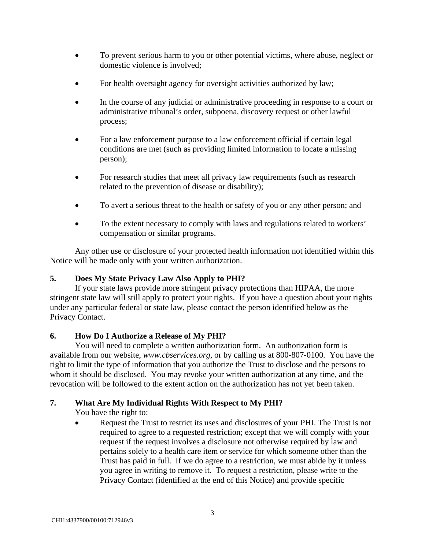- To prevent serious harm to you or other potential victims, where abuse, neglect or domestic violence is involved;
- For health oversight agency for oversight activities authorized by law;
- In the course of any judicial or administrative proceeding in response to a court or administrative tribunal's order, subpoena, discovery request or other lawful process;
- For a law enforcement purpose to a law enforcement official if certain legal conditions are met (such as providing limited information to locate a missing person);
- For research studies that meet all privacy law requirements (such as research related to the prevention of disease or disability);
- To avert a serious threat to the health or safety of you or any other person; and
- To the extent necessary to comply with laws and regulations related to workers' compensation or similar programs.

Any other use or disclosure of your protected health information not identified within this Notice will be made only with your written authorization.

# **5. Does My State Privacy Law Also Apply to PHI?**

If your state laws provide more stringent privacy protections than HIPAA, the more stringent state law will still apply to protect your rights. If you have a question about your rights under any particular federal or state law, please contact the person identified below as the Privacy Contact.

# **6. How Do I Authorize a Release of My PHI?**

You will need to complete a written authorization form. An authorization form is available from our website, *www.cbservices.org*, or by calling us at 800-807-0100*.* You have the right to limit the type of information that you authorize the Trust to disclose and the persons to whom it should be disclosed. You may revoke your written authorization at any time, and the revocation will be followed to the extent action on the authorization has not yet been taken.

# **7. What Are My Individual Rights With Respect to My PHI?**

You have the right to:

 Request the Trust to restrict its uses and disclosures of your PHI. The Trust is not required to agree to a requested restriction; except that we will comply with your request if the request involves a disclosure not otherwise required by law and pertains solely to a health care item or service for which someone other than the Trust has paid in full. If we do agree to a restriction, we must abide by it unless you agree in writing to remove it. To request a restriction, please write to the Privacy Contact (identified at the end of this Notice) and provide specific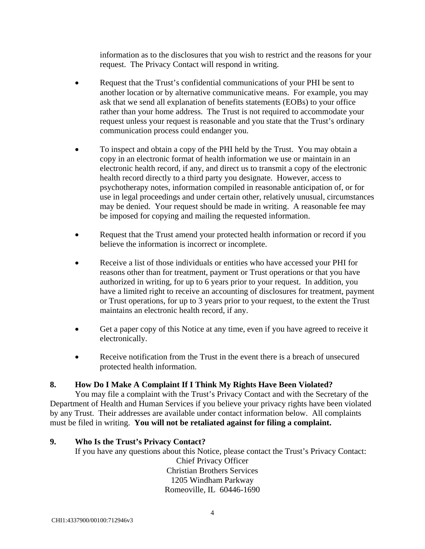information as to the disclosures that you wish to restrict and the reasons for your request. The Privacy Contact will respond in writing.

- Request that the Trust's confidential communications of your PHI be sent to another location or by alternative communicative means. For example, you may ask that we send all explanation of benefits statements (EOBs) to your office rather than your home address. The Trust is not required to accommodate your request unless your request is reasonable and you state that the Trust's ordinary communication process could endanger you.
- To inspect and obtain a copy of the PHI held by the Trust. You may obtain a copy in an electronic format of health information we use or maintain in an electronic health record, if any, and direct us to transmit a copy of the electronic health record directly to a third party you designate. However, access to psychotherapy notes, information compiled in reasonable anticipation of, or for use in legal proceedings and under certain other, relatively unusual, circumstances may be denied. Your request should be made in writing. A reasonable fee may be imposed for copying and mailing the requested information.
- Request that the Trust amend your protected health information or record if you believe the information is incorrect or incomplete.
- Receive a list of those individuals or entities who have accessed your PHI for reasons other than for treatment, payment or Trust operations or that you have authorized in writing, for up to 6 years prior to your request. In addition, you have a limited right to receive an accounting of disclosures for treatment, payment or Trust operations, for up to 3 years prior to your request, to the extent the Trust maintains an electronic health record, if any.
- Get a paper copy of this Notice at any time, even if you have agreed to receive it electronically.
- Receive notification from the Trust in the event there is a breach of unsecured protected health information.

# **8. How Do I Make A Complaint If I Think My Rights Have Been Violated?**

You may file a complaint with the Trust's Privacy Contact and with the Secretary of the Department of Health and Human Services if you believe your privacy rights have been violated by any Trust. Their addresses are available under contact information below. All complaints must be filed in writing. **You will not be retaliated against for filing a complaint.** 

# **9. Who Is the Trust's Privacy Contact?**

If you have any questions about this Notice, please contact the Trust's Privacy Contact: Chief Privacy Officer Christian Brothers Services 1205 Windham Parkway Romeoville, IL 60446-1690